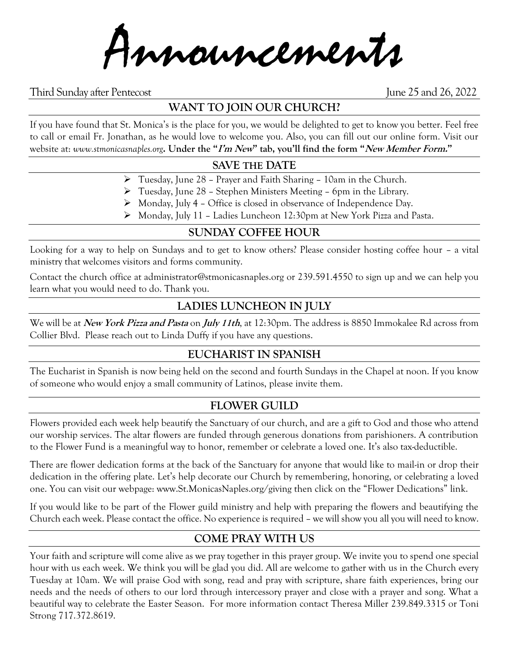Announcements

Third Sunday after Pentecost June 25 and 26, 2022

# **WANT TO JOIN OUR CHURCH?**

If you have found that St. Monica's is the place for you, we would be delighted to get to know you better. Feel free to call or email Fr. Jonathan, as he would love to welcome you. Also, you can fill out our online form. Visit our website at: *www.stmonicasnaples.org***. Under the "I'm New" tab, you'll find the form "New Member Form."**

## **SAVE THE DATE**

- ➢ Tuesday, June 28 Prayer and Faith Sharing 10am in the Church.
- ➢ Tuesday, June 28 Stephen Ministers Meeting 6pm in the Library.
- ➢ Monday, July 4 Office is closed in observance of Independence Day.
- ➢ Monday, July 11 Ladies Luncheon 12:30pm at New York Pizza and Pasta.

## **SUNDAY COFFEE HOUR**

Looking for a way to help on Sundays and to get to know others? Please consider hosting coffee hour – a vital ministry that welcomes visitors and forms community.

Contact the church office at administrator@stmonicasnaples.org or 239.591.4550 to sign up and we can help you learn what you would need to do. Thank you.

## **LADIES LUNCHEON IN JULY**

We will be at **New York Pizza and Pasta** on **July 11th**, at 12:30pm. The address is 8850 Immokalee Rd across from Collier Blvd. Please reach out to Linda Duffy if you have any questions.

## **EUCHARIST IN SPANISH**

The Eucharist in Spanish is now being held on the second and fourth Sundays in the Chapel at noon. If you know of someone who would enjoy a small community of Latinos, please invite them.

## **FLOWER GUILD**

Flowers provided each week help beautify the Sanctuary of our church, and are a gift to God and those who attend our worship services. The altar flowers are funded through generous donations from parishioners. A contribution to the Flower Fund is a meaningful way to honor, remember or celebrate a loved one. It's also tax-deductible.

There are flower dedication forms at the back of the Sanctuary for anyone that would like to mail-in or drop their dedication in the offering plate. Let's help decorate our Church by remembering, honoring, or celebrating a loved one. You can visit our webpage: www.St.MonicasNaples.org/giving then click on the "Flower Dedications" link.

If you would like to be part of the Flower guild ministry and help with preparing the flowers and beautifying the Church each week. Please contact the office. No experience is required – we will show you all you will need to know.

## **COME PRAY WITH US**

Your faith and scripture will come alive as we pray together in this prayer group. We invite you to spend one special hour with us each week. We think you will be glad you did. All are welcome to gather with us in the Church every Tuesday at 10am. We will praise God with song, read and pray with scripture, share faith experiences, bring our needs and the needs of others to our lord through intercessory prayer and close with a prayer and song. What a beautiful way to celebrate the Easter Season. For more information contact Theresa Miller 239.849.3315 or Toni Strong 717.372.8619.